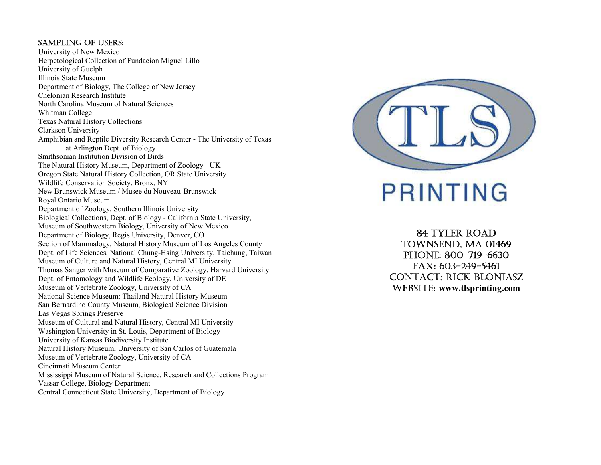#### Sampling of USERS:

University of New Mexico Herpetological Collection of Fundacion Miguel Lillo University of Guelph Illinois State Museum Department of Biology, The College of New Jersey Chelonian Research Institute North Carolina Museum of Natural Sciences Whitman College Texas Natural History Collections Clarkson University Amphibian and Reptile Diversity Research Center - The University of Texas at Arlington Dept. of Biology Smithsonian Institution Division of Birds The Natural History Museum, Department of Zoology - UK Oregon State Natural History Collection, OR State University Wildlife Conservation Society, Bronx, NY New Brunswick Museum / Musee du Nouveau-Brunswick Royal Ontario Museum Department of Zoology, Southern Illinois University Biological Collections, Dept. of Biology - California State University, Museum of Southwestern Biology, University of New Mexico Department of Biology, Regis University, Denver, CO Section of Mammalogy, Natural History Museum of Los Angeles County Dept. of Life Sciences, National Chung-Hsing University, Taichung, Taiwan Museum of Culture and Natural History, Central MI University Thomas Sanger with Museum of Comparative Zoology, Harvard University Dept. of Entomology and Wildlife Ecology, University of DE Museum of Vertebrate Zoology, University of CA National Science Museum: Thailand Natural History Museum San Bernardino County Museum, Biological Science Division Las Vegas Springs Preserve Museum of Cultural and Natural History, Central MI University Washington University in St. Louis, Department of Biology University of Kansas Biodiversity Institute Natural History Museum, University of San Carlos of Guatemala Museum of Vertebrate Zoology, University of CA Cincinnati Museum Center Mississippi Museum of Natural Science, Research and Collections Program Vassar College, Biology Department Central Connecticut State University, Department of Biology



PRINTING

84 TylER Road TOWNSEND, MA 01469 pHonE: 800-719-6630 faX: 603-249-5461 ConTaCT: RiCk BloniaSz wEBSiTE: www.tlsprinting.com